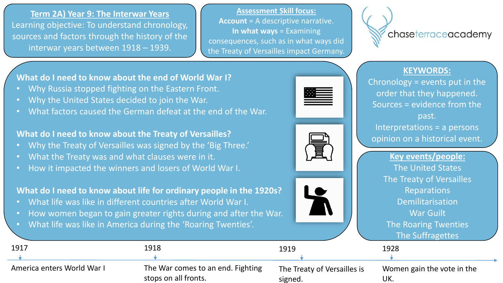**Term 2A) Year 9: The Interwar Years** Learning objective: To understand chronology, sources and factors through the history of the interwar years between 1918 – 1939.

**Assessment Skill focus: Account** = A descriptive narrative. **In what ways** = Examining consequences, such as in what ways did the Treaty of Versailles impact Germany.



## **KEYWORDS:**

Chronology = events put in the order that they happened. Sources = evidence from the past. Interpretations = a persons opinion on a historical event.

> **Key events/people:** The United States The Treaty of Versailles Reparations Demilitarisation War Guilt The Roaring Twenties  $Tho$  Suffragettes

**What do I need to know about the end of World War I?**

- Why Russia stopped fighting on the Eastern Front.
- Why the United States decided to join the War.
- What factors caused the German defeat at the end of the War.

**What do I need to know about the Treaty of Versailles?**

- Why the Treaty of Versailles was signed by the 'Big Three.'
- What the Treaty was and what clauses were in it.
- How it impacted the winners and losers of World War I.

**What do I need to know about life for ordinary people in the 1920s?**

- What life was like in different countries after World War I.
- How women began to gain greater rights during and after the War.
- What life was like in America during the 'Roaring Twenties'.

|                            |                                   |                             | THE SUITING ELLES          |
|----------------------------|-----------------------------------|-----------------------------|----------------------------|
| 1917                       | 1918                              | 1919                        | 1928                       |
|                            |                                   |                             |                            |
| America enters World War I | The War comes to an end. Fighting | The Treaty of Versailles is | Women gain the vote in the |
|                            | stops on all fronts.              | signed.                     | UK.                        |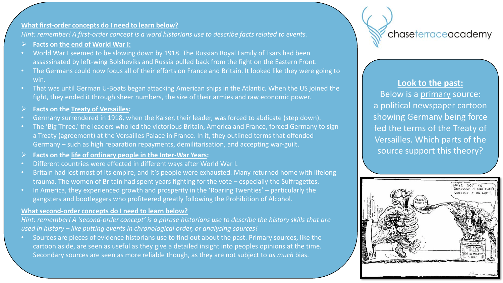### **What first-order concepts do I need to learn below?**

*Hint: remember! A first-order concept is a word historians use to describe facts related to events.*

- **Facts on the end of World War I:**
- World War I seemed to be slowing down by 1918. The Russian Royal Family of Tsars had been assassinated by left-wing Bolsheviks and Russia pulled back from the fight on the Eastern Front.
- The Germans could now focus all of their efforts on France and Britain. It looked like they were going to win.
- That was until German U-Boats began attacking American ships in the Atlantic. When the US joined the fight, they ended it through sheer numbers, the size of their armies and raw economic power.
- **Facts on the Treaty of Versailles:**
- Germany surrendered in 1918, when the Kaiser, their leader, was forced to abdicate (step down).
- The 'Big Three,' the leaders who led the victorious Britain, America and France, forced Germany to sign a Treaty (agreement) at the Versailles Palace in France. In it, they outlined terms that offended Germany – such as high reparation repayments, demilitarisation, and accepting war-guilt.
- **Facts on the life of ordinary people in the Inter-War Years:**
- Different countries were effected in different ways after World War I.
- Britain had lost most of its empire, and it's people were exhausted. Many returned home with lifelong trauma. The women of Britain had spent years fighting for the vote – especially the Suffragettes.
- In America, they experienced growth and prosperity in the 'Roaring Twenties' particularly the gangsters and bootleggers who profiteered greatly following the Prohibition of Alcohol.

### **What second-order concepts do I need to learn below?**

*Hint: remember! A 'second-order concept' is a phrase historians use to describe the history skills that are used in history – like putting events in chronological order, or analysing sources!*

• Sources are pieces of evidence historians use to find out about the past. Primary sources, like the cartoon aside, are seen as useful as they give a detailed insight into peoples opinions at the time. Secondary sources are seen as more reliable though, as they are not subject to *as much* bias.

# chaseterraceacademy

### **Look to the past:**

Below is a primary source: a political newspaper cartoon showing Germany being force fed the terms of the Treaty of Versailles. Which parts of the source support this theory?

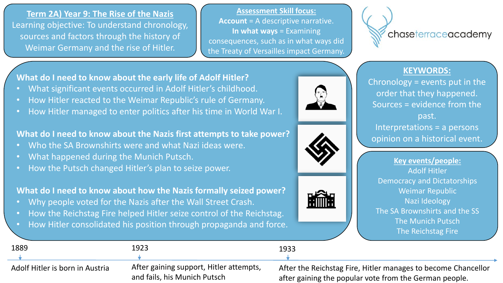**Term 2A) Year 9: The Rise of the Nazis** Learning objective: To understand chronology, sources and factors through the history of Weimar Germany and the rise of Hitler.

**Assessment Skill focus: Account** = A descriptive narrative. **In what ways** = Examining consequences, such as in what ways did the Treaty of Versailles impact Germany.



## **KEYWORDS:**

Chronology = events put in the order that they happened. Sources = evidence from the past. Interpretations = a persons opinion on a historical event.

**Key events/people:** Adolf Hitler Democracy and Dictatorships Weimar Republic Nazi Ideology The SA Brownshirts and the SS The Munich Putsch The Reichstag Fire

**What do I need to know about the early life of Adolf Hitler?**

- What significant events occurred in Adolf Hitler's childhood.
- How Hitler reacted to the Weimar Republic's rule of Germany.
- How Hitler managed to enter politics after his time in World War I.

## **What do I need to know about the Nazis first attempts to take power?**

- Who the SA Brownshirts were and what Nazi ideas were.
- What happened during the Munich Putsch.
- How the Putsch changed Hitler's plan to seize power.

## **What do I need to know about how the Nazis formally seized power?**

- Why people voted for the Nazis after the Wall Street Crash.
- How the Reichstag Fire helped Hitler seize control of the Reichstag.
- How Hitler consolidated his position through propaganda and force.

| 1889                            | 1923                                                                    | 1933                                                                                                                    |
|---------------------------------|-------------------------------------------------------------------------|-------------------------------------------------------------------------------------------------------------------------|
|                                 |                                                                         |                                                                                                                         |
| Adolf Hitler is born in Austria | After gaining support, Hitler attempts,<br>and fails, his Munich Putsch | After the Reichstag Fire, Hitler manages to become Chancellor<br>after gaining the popular vote from the German people. |